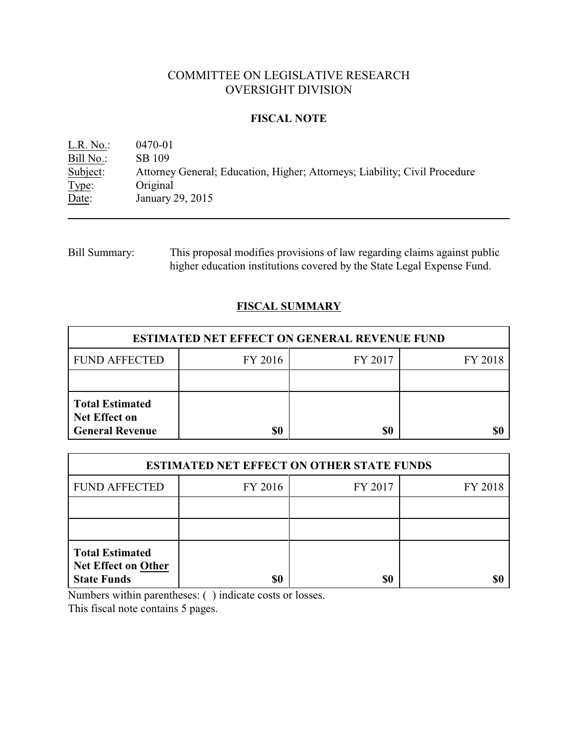# COMMITTEE ON LEGISLATIVE RESEARCH OVERSIGHT DIVISION

## **FISCAL NOTE**

L.R. No.: 0470-01 Bill No.: SB 109<br>Subject: Attorney Attorney General; Education, Higher; Attorneys; Liability; Civil Procedure Type: Original<br>Date: January 2 January 29, 2015

Bill Summary: This proposal modifies provisions of law regarding claims against public higher education institutions covered by the State Legal Expense Fund.

# **FISCAL SUMMARY**

| <b>ESTIMATED NET EFFECT ON GENERAL REVENUE FUND</b>                      |         |         |         |  |
|--------------------------------------------------------------------------|---------|---------|---------|--|
| <b>FUND AFFECTED</b>                                                     | FY 2016 | FY 2017 | FY 2018 |  |
|                                                                          |         |         |         |  |
| <b>Total Estimated</b><br><b>Net Effect on</b><br><b>General Revenue</b> | \$0     | \$0     | S(      |  |

| <b>ESTIMATED NET EFFECT ON OTHER STATE FUNDS</b>                           |         |         |         |  |
|----------------------------------------------------------------------------|---------|---------|---------|--|
| <b>FUND AFFECTED</b>                                                       | FY 2016 | FY 2017 | FY 2018 |  |
|                                                                            |         |         |         |  |
|                                                                            |         |         |         |  |
| <b>Total Estimated</b><br><b>Net Effect on Other</b><br><b>State Funds</b> | \$0     | \$0     |         |  |

Numbers within parentheses: ( ) indicate costs or losses.

This fiscal note contains 5 pages.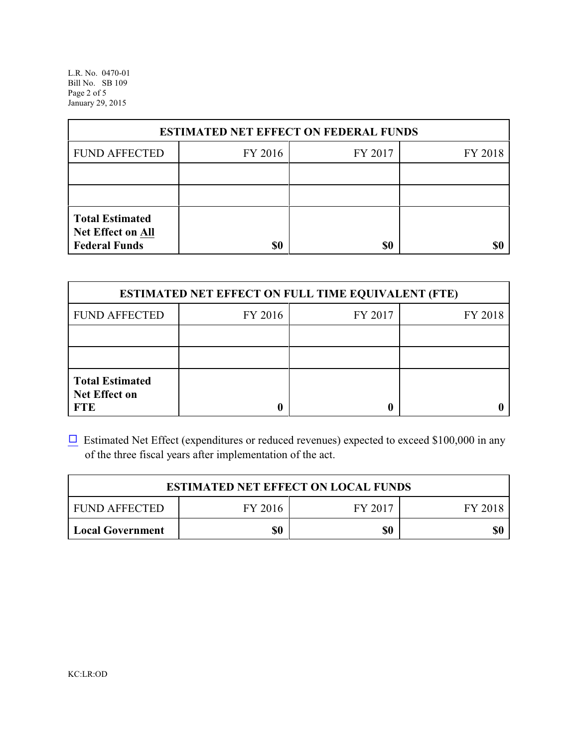L.R. No. 0470-01 Bill No. SB 109 Page 2 of 5 January 29, 2015

| <b>ESTIMATED NET EFFECT ON FEDERAL FUNDS</b>                        |         |         |         |  |
|---------------------------------------------------------------------|---------|---------|---------|--|
| <b>FUND AFFECTED</b>                                                | FY 2016 | FY 2017 | FY 2018 |  |
|                                                                     |         |         |         |  |
|                                                                     |         |         |         |  |
| <b>Total Estimated</b><br>Net Effect on All<br><b>Federal Funds</b> | \$0     | \$0     |         |  |

| <b>ESTIMATED NET EFFECT ON FULL TIME EQUIVALENT (FTE)</b>    |         |         |         |  |
|--------------------------------------------------------------|---------|---------|---------|--|
| <b>FUND AFFECTED</b>                                         | FY 2016 | FY 2017 | FY 2018 |  |
|                                                              |         |         |         |  |
|                                                              |         |         |         |  |
| <b>Total Estimated</b><br><b>Net Effect on</b><br><b>FTE</b> |         |         |         |  |

 $\Box$  Estimated Net Effect (expenditures or reduced revenues) expected to exceed \$100,000 in any of the three fiscal years after implementation of the act.

| <b>ESTIMATED NET EFFECT ON LOCAL FUNDS</b> |         |         |         |
|--------------------------------------------|---------|---------|---------|
| <b>FUND AFFECTED</b>                       | FY 2016 | FY 2017 | FY 2018 |
| <b>Local Government</b>                    | \$0     | \$0     | \$0     |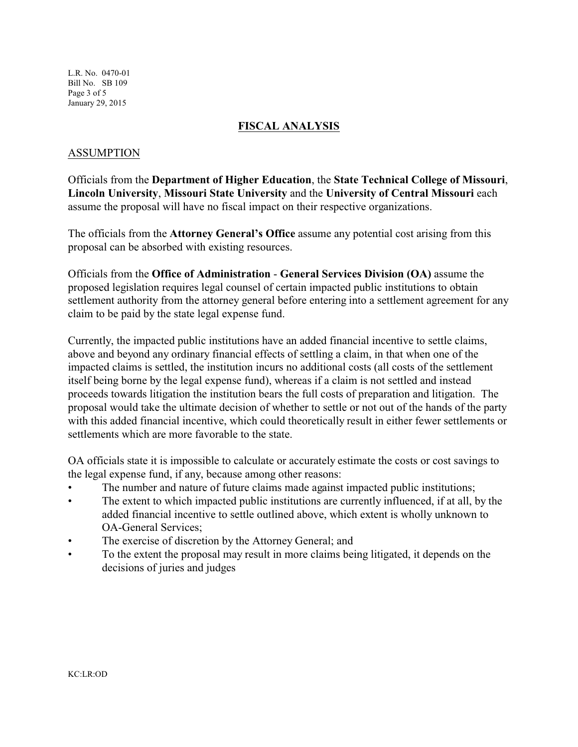L.R. No. 0470-01 Bill No. SB 109 Page 3 of 5 January 29, 2015

### **FISCAL ANALYSIS**

## ASSUMPTION

Officials from the **Department of Higher Education**, the **State Technical College of Missouri**, **Lincoln University**, **Missouri State University** and the **University of Central Missouri** each assume the proposal will have no fiscal impact on their respective organizations.

The officials from the **Attorney General's Office** assume any potential cost arising from this proposal can be absorbed with existing resources.

Officials from the **Office of Administration** - **General Services Division (OA)** assume the proposed legislation requires legal counsel of certain impacted public institutions to obtain settlement authority from the attorney general before entering into a settlement agreement for any claim to be paid by the state legal expense fund.

Currently, the impacted public institutions have an added financial incentive to settle claims, above and beyond any ordinary financial effects of settling a claim, in that when one of the impacted claims is settled, the institution incurs no additional costs (all costs of the settlement itself being borne by the legal expense fund), whereas if a claim is not settled and instead proceeds towards litigation the institution bears the full costs of preparation and litigation. The proposal would take the ultimate decision of whether to settle or not out of the hands of the party with this added financial incentive, which could theoretically result in either fewer settlements or settlements which are more favorable to the state.

OA officials state it is impossible to calculate or accurately estimate the costs or cost savings to the legal expense fund, if any, because among other reasons:

- The number and nature of future claims made against impacted public institutions;
- The extent to which impacted public institutions are currently influenced, if at all, by the added financial incentive to settle outlined above, which extent is wholly unknown to OA-General Services;
- The exercise of discretion by the Attorney General; and
- To the extent the proposal may result in more claims being litigated, it depends on the decisions of juries and judges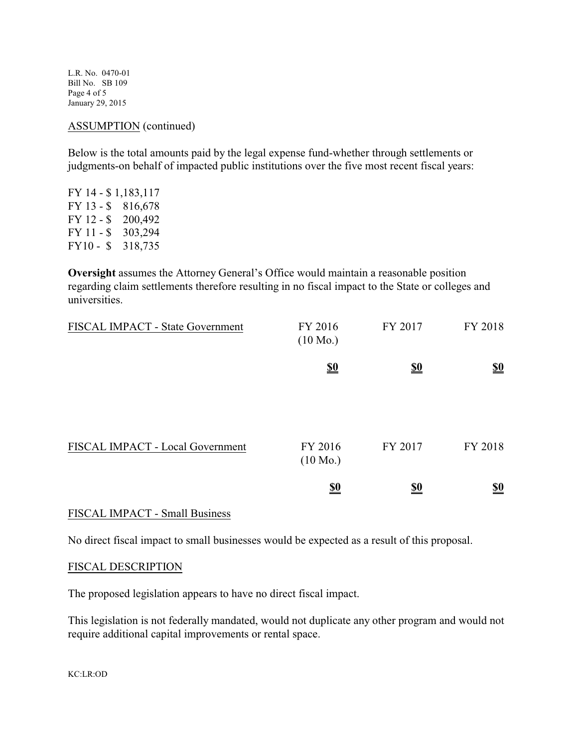L.R. No. 0470-01 Bill No. SB 109 Page 4 of 5 January 29, 2015

#### ASSUMPTION (continued)

Below is the total amounts paid by the legal expense fund-whether through settlements or judgments-on behalf of impacted public institutions over the five most recent fiscal years:

FY 14 - \$ 1,183,117 FY 13 - \$ 816,678 FY 12 - \$ 200,492 FY 11 - \$ 303,294 FY10 - \$ 318,735

**Oversight** assumes the Attorney General's Office would maintain a reasonable position regarding claim settlements therefore resulting in no fiscal impact to the State or colleges and universities.

| FISCAL IMPACT - State Government | FY 2016<br>$(10 \text{ Mo.})$ | FY 2017    | FY 2018                       |
|----------------------------------|-------------------------------|------------|-------------------------------|
|                                  | $\underline{\underline{\$0}}$ | <u>\$0</u> | $\underline{\underline{\$0}}$ |
| FISCAL IMPACT - Local Government | FY 2016<br>$(10 \text{ Mo.})$ | FY 2017    | FY 2018                       |
|                                  | $\underline{\underline{\$0}}$ | <u>\$0</u> | $\underline{\underline{\$0}}$ |

### FISCAL IMPACT - Small Business

No direct fiscal impact to small businesses would be expected as a result of this proposal.

### FISCAL DESCRIPTION

The proposed legislation appears to have no direct fiscal impact.

This legislation is not federally mandated, would not duplicate any other program and would not require additional capital improvements or rental space.

KC:LR:OD